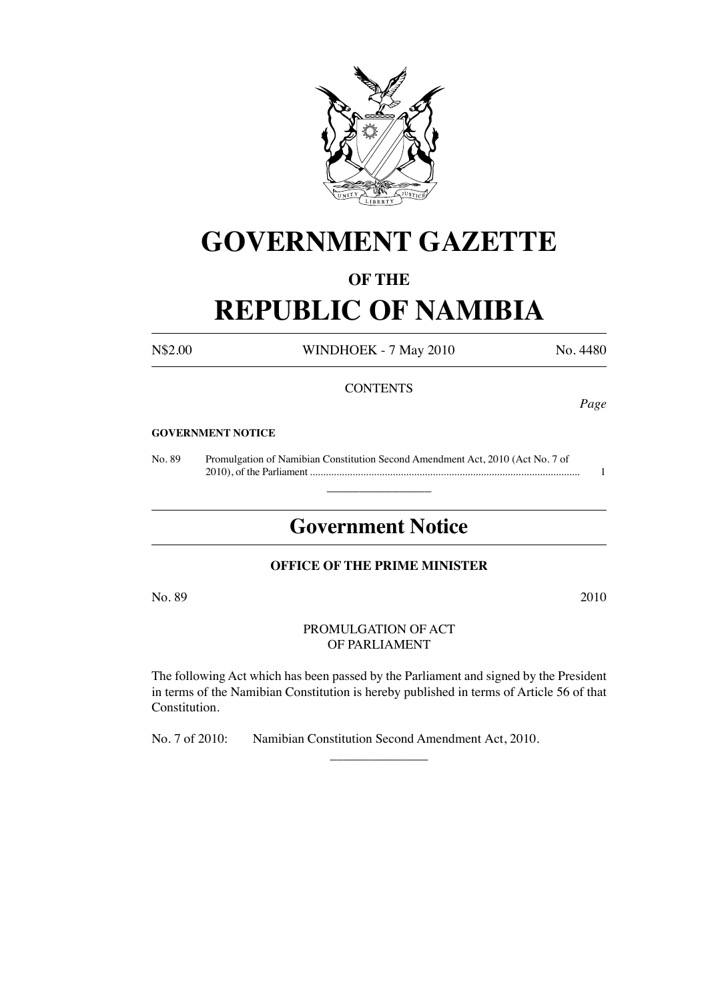

# **GOVERNMENT GAZETTE**

# **OF THE**

# **REPUBLIC OF NAMIBIA**

## N\$2.00 WINDHOEK - 7 May 2010 No. 4480

### **CONTENTS**

*Page*

#### **GOVERNMENT NOTICE**

No. 89 Promulgation of Namibian Constitution Second Amendment Act, 2010 (Act No. 7 of 2010), of the Parliament ..................................................................................................... 1

# **Government Notice**

 $\overline{\phantom{a}}$  , where  $\overline{\phantom{a}}$ 

## **OFFICE OF THE PRIME MINISTER**

 $\rm No. 89$   $2010$ 

#### PROMULGATION OF ACT OF PARLIAMENT

The following Act which has been passed by the Parliament and signed by the President in terms of the Namibian Constitution is hereby published in terms of Article 56 of that Constitution.

 $\overline{\phantom{a}}$  , where  $\overline{\phantom{a}}$ 

No. 7 of 2010: Namibian Constitution Second Amendment Act, 2010.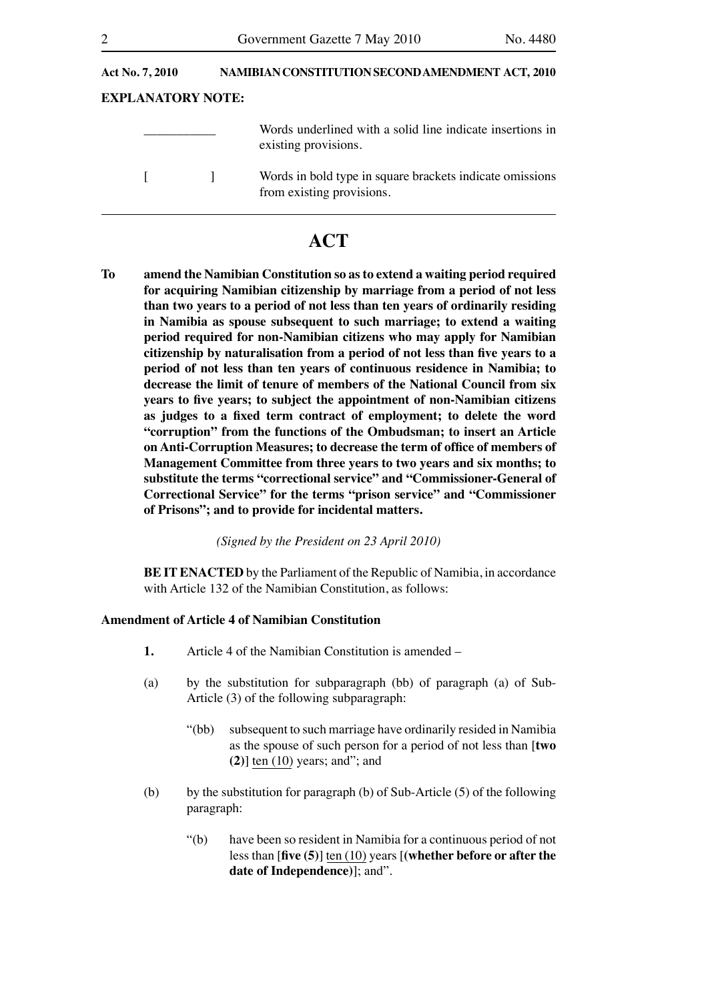| <b>Act No. 7, 2010</b>   | NAMIBIAN CONSTITUTION SECOND AMENDMENT ACT, 2010 |                                                                                       |
|--------------------------|--------------------------------------------------|---------------------------------------------------------------------------------------|
| <b>EXPLANATORY NOTE:</b> |                                                  |                                                                                       |
|                          |                                                  | Words underlined with a solid line indicate insertions in<br>existing provisions.     |
|                          |                                                  | Words in bold type in square brackets indicate omissions<br>from existing provisions. |

# **ACT**

**To amend the Namibian Constitution so as to extend a waiting period required for acquiring Namibian citizenship by marriage from a period of not less than two years to a period of not less than ten years of ordinarily residing in Namibia as spouse subsequent to such marriage; to extend a waiting period required for non-Namibian citizens who may apply for Namibian citizenship by naturalisation from a period of not less than five years to a period of not less than ten years of continuous residence in Namibia; to decrease the limit of tenure of members of the National Council from six years to five years; to subject the appointment of non-Namibian citizens as judges to a fixed term contract of employment; to delete the word "corruption" from the functions of the Ombudsman; to insert an Article on Anti-Corruption Measures; to decrease the term of office of members of Management Committee from three years to two years and six months; to substitute the terms "correctional service" and "Commissioner-General of Correctional Service" for the terms "prison service" and "Commissioner of Prisons"; and to provide for incidental matters.**

*(Signed by the President on 23 April 2010)*

**BE IT ENACTED** by the Parliament of the Republic of Namibia, in accordance with Article 132 of the Namibian Constitution, as follows:

#### **Amendment of Article 4 of Namibian Constitution**

- **1.** Article 4 of the Namibian Constitution is amended –
- (a) by the substitution for subparagraph (bb) of paragraph (a) of Sub-Article (3) of the following subparagraph:
	- "(bb) subsequent to such marriage have ordinarily resided in Namibia as the spouse of such person for a period of not less than [**two (2)**] ten (10) years; and"; and
- (b) by the substitution for paragraph (b) of Sub-Article  $(5)$  of the following paragraph:
	- "(b) have been so resident in Namibia for a continuous period of not less than [**five (5)**] ten (10) years [**(whether before or after the date of Independence)**]; and".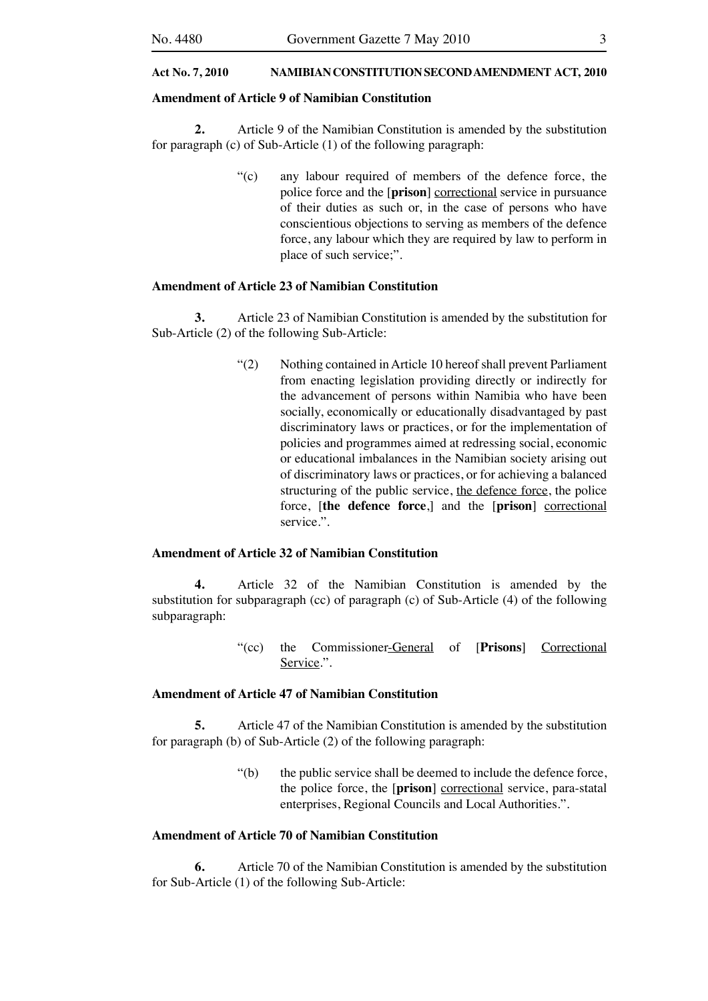#### **Amendment of Article 9 of Namibian Constitution**

**2.** Article 9 of the Namibian Constitution is amended by the substitution for paragraph (c) of Sub-Article (1) of the following paragraph:

> "(c) any labour required of members of the defence force, the police force and the [**prison**] correctional service in pursuance of their duties as such or, in the case of persons who have conscientious objections to serving as members of the defence force, any labour which they are required by law to perform in place of such service;".

#### **Amendment of Article 23 of Namibian Constitution**

**3.** Article 23 of Namibian Constitution is amended by the substitution for Sub-Article (2) of the following Sub-Article:

> "(2) Nothing contained in Article 10 hereof shall prevent Parliament from enacting legislation providing directly or indirectly for the advancement of persons within Namibia who have been socially, economically or educationally disadvantaged by past discriminatory laws or practices, or for the implementation of policies and programmes aimed at redressing social, economic or educational imbalances in the Namibian society arising out of discriminatory laws or practices, or for achieving a balanced structuring of the public service, the defence force, the police force, [**the defence force**,] and the [**prison**] correctional service.".

#### **Amendment of Article 32 of Namibian Constitution**

**4.** Article 32 of the Namibian Constitution is amended by the substitution for subparagraph (cc) of paragraph (c) of Sub-Article (4) of the following subparagraph:

> "(cc) the Commissioner-General of [**Prisons**] Correctional Service.".

#### **Amendment of Article 47 of Namibian Constitution**

**5.** Article 47 of the Namibian Constitution is amended by the substitution for paragraph (b) of Sub-Article (2) of the following paragraph:

> "(b) the public service shall be deemed to include the defence force, the police force, the [**prison**] correctional service, para-statal enterprises, Regional Councils and Local Authorities.".

#### **Amendment of Article 70 of Namibian Constitution**

**6.** Article 70 of the Namibian Constitution is amended by the substitution for Sub-Article (1) of the following Sub-Article: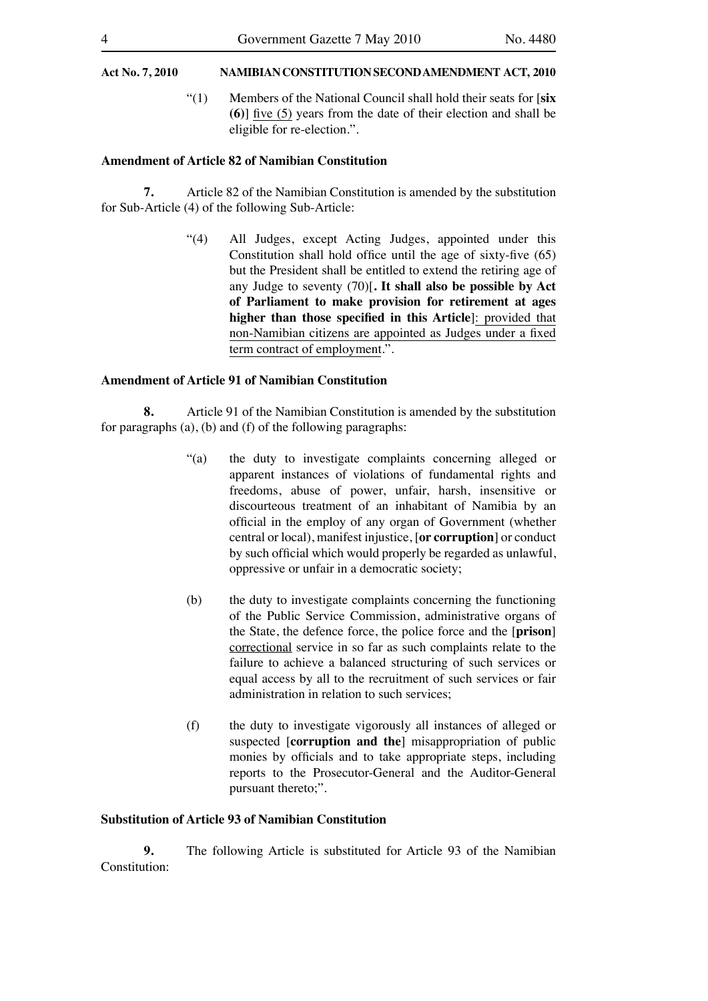"(1) Members of the National Council shall hold their seats for [**six (6)**] five (5) years from the date of their election and shall be eligible for re-election.".

#### **Amendment of Article 82 of Namibian Constitution**

**7.** Article 82 of the Namibian Constitution is amended by the substitution for Sub-Article (4) of the following Sub-Article:

> "(4) All Judges, except Acting Judges, appointed under this Constitution shall hold office until the age of sixty-five (65) but the President shall be entitled to extend the retiring age of any Judge to seventy (70)[**. It shall also be possible by Act of Parliament to make provision for retirement at ages higher than those specified in this Article**]: provided that non-Namibian citizens are appointed as Judges under a fixed term contract of employment.".

#### **Amendment of Article 91 of Namibian Constitution**

**8.** Article 91 of the Namibian Constitution is amended by the substitution for paragraphs (a), (b) and (f) of the following paragraphs:

- "(a) the duty to investigate complaints concerning alleged or apparent instances of violations of fundamental rights and freedoms, abuse of power, unfair, harsh, insensitive or discourteous treatment of an inhabitant of Namibia by an official in the employ of any organ of Government (whether central or local), manifest injustice, [**or corruption**] or conduct by such official which would properly be regarded as unlawful, oppressive or unfair in a democratic society;
- (b) the duty to investigate complaints concerning the functioning of the Public Service Commission, administrative organs of the State, the defence force, the police force and the [**prison**] correctional service in so far as such complaints relate to the failure to achieve a balanced structuring of such services or equal access by all to the recruitment of such services or fair administration in relation to such services;
- (f) the duty to investigate vigorously all instances of alleged or suspected [**corruption and the**] misappropriation of public monies by officials and to take appropriate steps, including reports to the Prosecutor-General and the Auditor-General pursuant thereto;".

#### **Substitution of Article 93 of Namibian Constitution**

**9.** The following Article is substituted for Article 93 of the Namibian Constitution: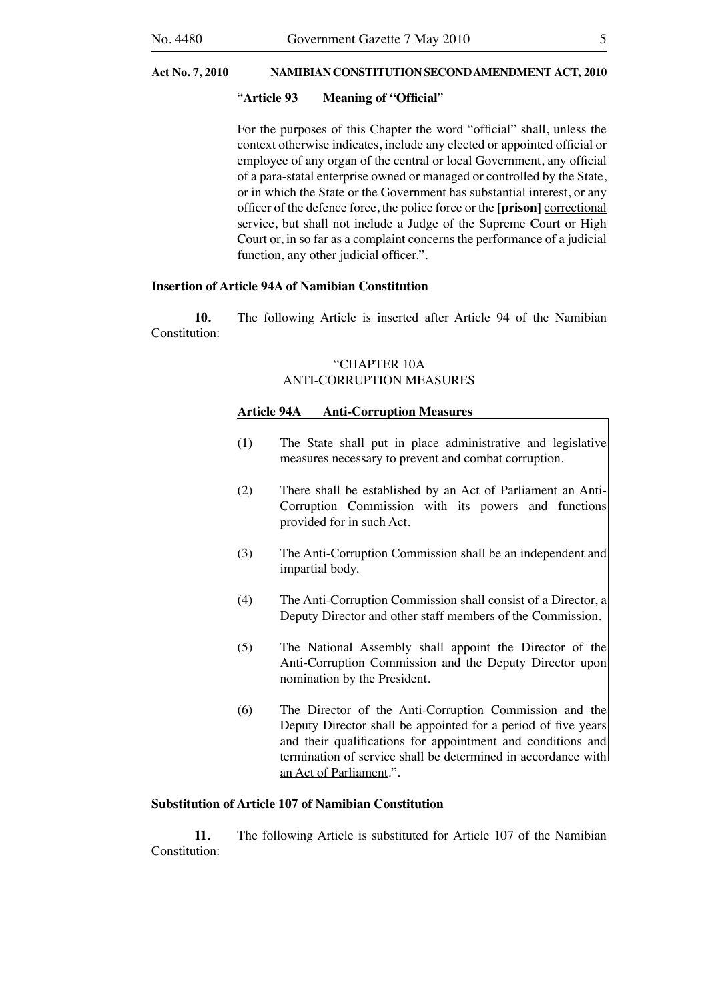#### "**Article 93 Meaning of "Official**"

 For the purposes of this Chapter the word "official" shall, unless the context otherwise indicates, include any elected or appointed official or employee of any organ of the central or local Government, any official of a para-statal enterprise owned or managed or controlled by the State, or in which the State or the Government has substantial interest, or any officer of the defence force, the police force or the [**prison**] correctional service, but shall not include a Judge of the Supreme Court or High Court or, in so far as a complaint concerns the performance of a judicial function, any other judicial officer.".

#### **Insertion of Article 94A of Namibian Constitution**

**10.** The following Article is inserted after Article 94 of the Namibian Constitution:

#### "CHAPTER 10A ANTI-CORRUPTION MEASURES

#### **Article 94A Anti-Corruption Measures**

- (1) The State shall put in place administrative and legislative measures necessary to prevent and combat corruption.
- (2) There shall be established by an Act of Parliament an Anti-Corruption Commission with its powers and functions provided for in such Act.
- (3) The Anti-Corruption Commission shall be an independent and impartial body.
- (4) The Anti-Corruption Commission shall consist of a Director, a Deputy Director and other staff members of the Commission.
- (5) The National Assembly shall appoint the Director of the Anti-Corruption Commission and the Deputy Director upon nomination by the President.
- (6) The Director of the Anti-Corruption Commission and the Deputy Director shall be appointed for a period of five years and their qualifications for appointment and conditions and termination of service shall be determined in accordance with an Act of Parliament.".

#### **Substitution of Article 107 of Namibian Constitution**

**11.** The following Article is substituted for Article 107 of the Namibian Constitution: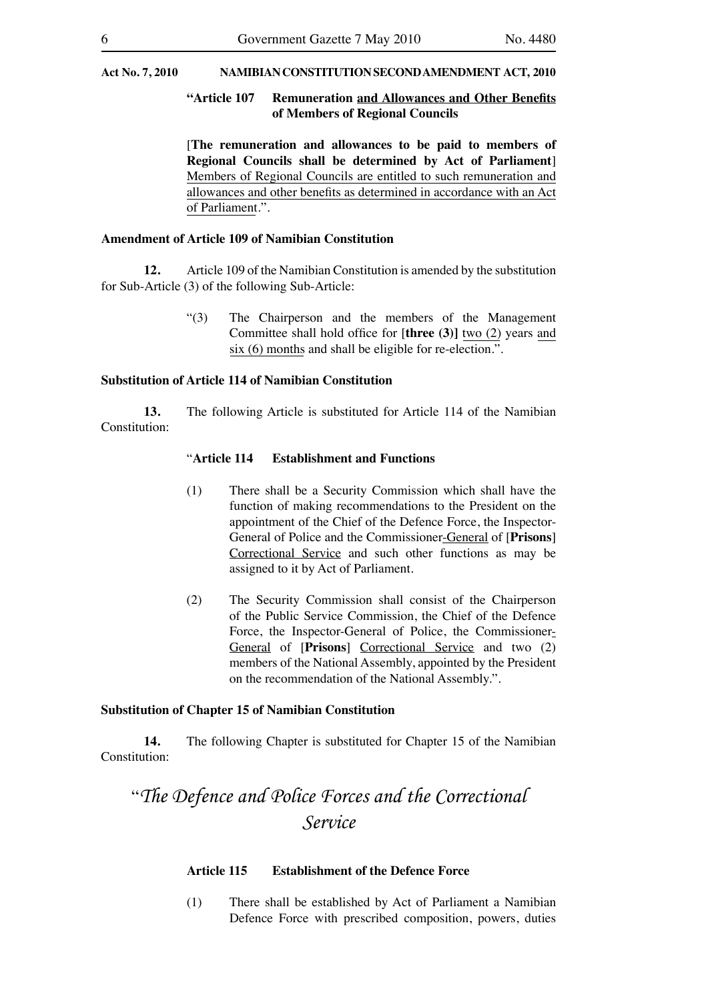#### **"Article 107 Remuneration and Allowances and Other Benefits of Members of Regional Councils**

 [**The remuneration and allowances to be paid to members of Regional Councils shall be determined by Act of Parliament**] Members of Regional Councils are entitled to such remuneration and allowances and other benefits as determined in accordance with an Act of Parliament.".

#### **Amendment of Article 109 of Namibian Constitution**

**12.** Article 109 of the Namibian Constitution is amended by the substitution for Sub-Article (3) of the following Sub-Article:

> "(3) The Chairperson and the members of the Management Committee shall hold office for [**three (3)]** two (2) years and six (6) months and shall be eligible for re-election.".

#### **Substitution of Article 114 of Namibian Constitution**

**13.** The following Article is substituted for Article 114 of the Namibian Constitution:

#### "**Article 114 Establishment and Functions**

- (1) There shall be a Security Commission which shall have the function of making recommendations to the President on the appointment of the Chief of the Defence Force, the Inspector-General of Police and the Commissioner-General of [**Prisons**] Correctional Service and such other functions as may be assigned to it by Act of Parliament.
- (2) The Security Commission shall consist of the Chairperson of the Public Service Commission, the Chief of the Defence Force, the Inspector-General of Police, the Commissioner-General of [**Prisons**] Correctional Service and two (2) members of the National Assembly, appointed by the President on the recommendation of the National Assembly.".

#### **Substitution of Chapter 15 of Namibian Constitution**

**14.** The following Chapter is substituted for Chapter 15 of the Namibian Constitution:

# "*The Defence and Police Forces and the Correctional Service*

#### **Article 115 Establishment of the Defence Force**

 (1) There shall be established by Act of Parliament a Namibian Defence Force with prescribed composition, powers, duties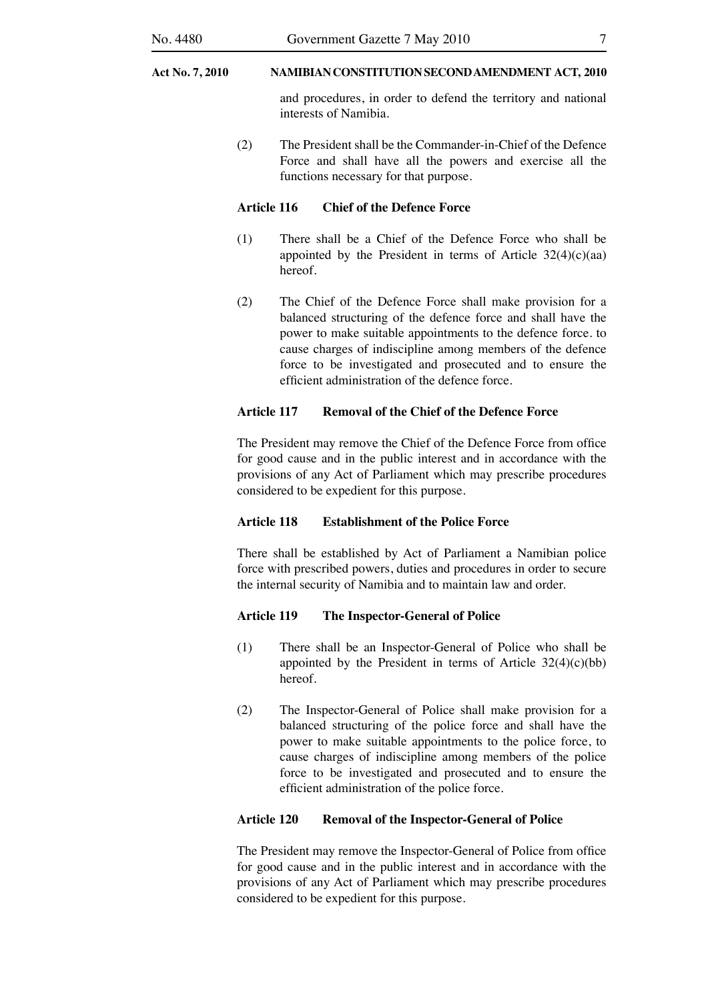and procedures, in order to defend the territory and national interests of Namibia.

 (2) The President shall be the Commander-in-Chief of the Defence Force and shall have all the powers and exercise all the functions necessary for that purpose.

#### **Article 116 Chief of the Defence Force**

- (1) There shall be a Chief of the Defence Force who shall be appointed by the President in terms of Article  $32(4)(c)(aa)$ hereof.
- (2) The Chief of the Defence Force shall make provision for a balanced structuring of the defence force and shall have the power to make suitable appointments to the defence force. to cause charges of indiscipline among members of the defence force to be investigated and prosecuted and to ensure the efficient administration of the defence force.

#### **Article 117 Removal of the Chief of the Defence Force**

 The President may remove the Chief of the Defence Force from office for good cause and in the public interest and in accordance with the provisions of any Act of Parliament which may prescribe procedures considered to be expedient for this purpose.

#### **Article 118 Establishment of the Police Force**

 There shall be established by Act of Parliament a Namibian police force with prescribed powers, duties and procedures in order to secure the internal security of Namibia and to maintain law and order.

#### **Article 119 The Inspector-General of Police**

- (1) There shall be an Inspector-General of Police who shall be appointed by the President in terms of Article 32(4)(c)(bb) hereof.
- (2) The Inspector-General of Police shall make provision for a balanced structuring of the police force and shall have the power to make suitable appointments to the police force, to cause charges of indiscipline among members of the police force to be investigated and prosecuted and to ensure the efficient administration of the police force.

#### **Article 120 Removal of the Inspector-General of Police**

 The President may remove the Inspector-General of Police from office for good cause and in the public interest and in accordance with the provisions of any Act of Parliament which may prescribe procedures considered to be expedient for this purpose.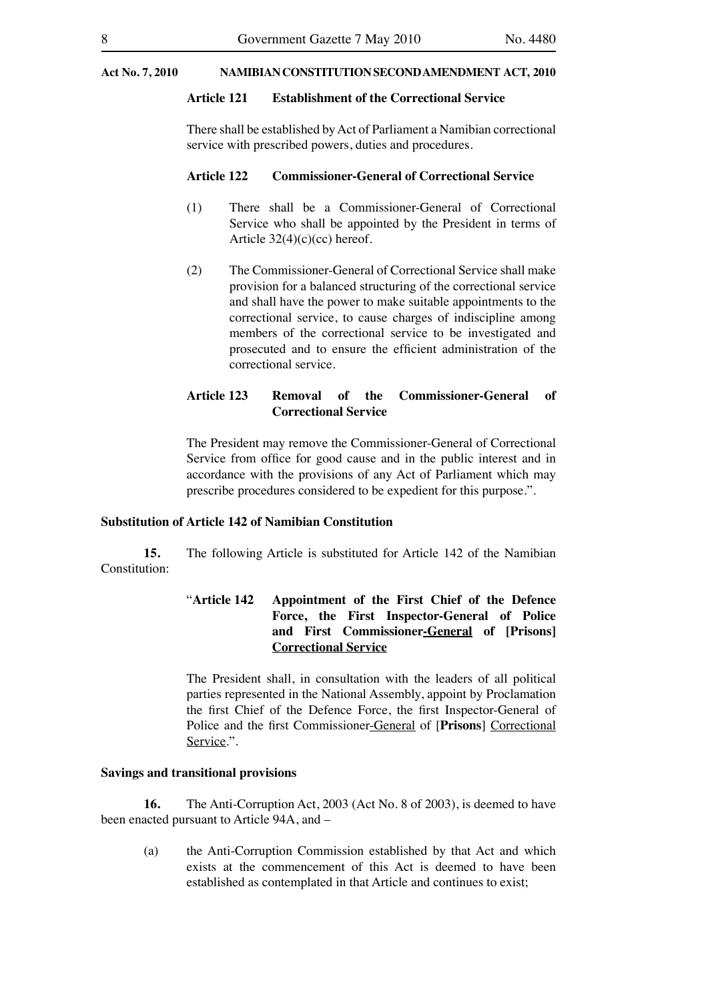#### **Article 121 Establishment of the Correctional Service**

There shall be established by Act of Parliament a Namibian correctional service with prescribed powers, duties and procedures.

#### **Article 122 Commissioner-General of Correctional Service**

- (1) There shall be a Commissioner-General of Correctional Service who shall be appointed by the President in terms of Article  $32(4)(c)(cc)$  hereof.
- (2) The Commissioner-General of Correctional Service shall make provision for a balanced structuring of the correctional service and shall have the power to make suitable appointments to the correctional service, to cause charges of indiscipline among members of the correctional service to be investigated and prosecuted and to ensure the efficient administration of the correctional service.

#### **Article 123 Removal of the Commissioner-General of Correctional Service**

 The President may remove the Commissioner-General of Correctional Service from office for good cause and in the public interest and in accordance with the provisions of any Act of Parliament which may prescribe procedures considered to be expedient for this purpose.".

#### **Substitution of Article 142 of Namibian Constitution**

**15.** The following Article is substituted for Article 142 of the Namibian Constitution:

### "**Article 142 Appointment of the First Chief of the Defence Force, the First Inspector-General of Police and First Commissioner-General of [Prisons] Correctional Service**

 The President shall, in consultation with the leaders of all political parties represented in the National Assembly, appoint by Proclamation the first Chief of the Defence Force, the first Inspector-General of Police and the first Commissioner-General of [**Prisons**] Correctional Service.".

#### **Savings and transitional provisions**

**16.** The Anti-Corruption Act, 2003 (Act No. 8 of 2003), is deemed to have been enacted pursuant to Article 94A, and –

 (a) the Anti-Corruption Commission established by that Act and which exists at the commencement of this Act is deemed to have been established as contemplated in that Article and continues to exist;